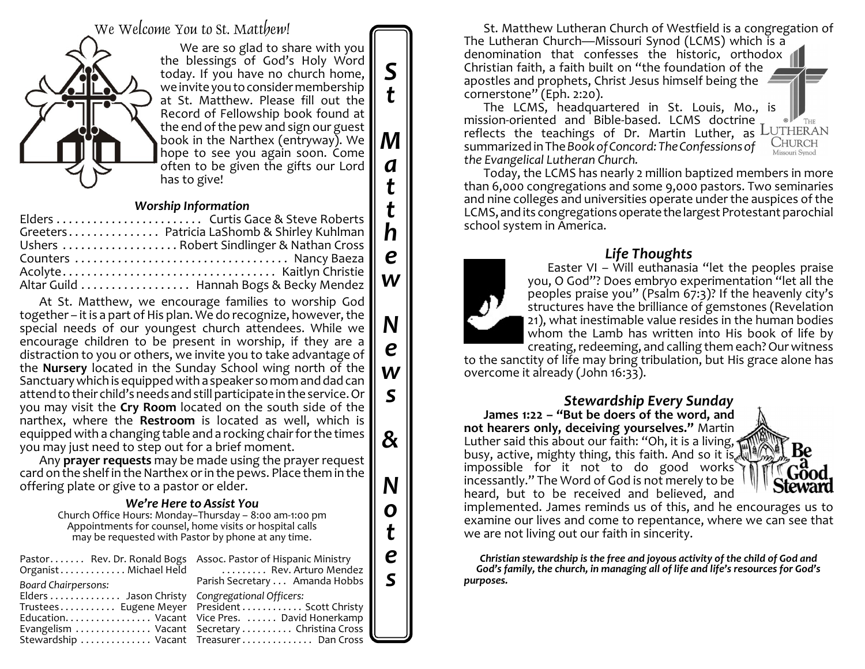We Welcome You to St. Matthew!



We are so glad to share with you the blessings of God's Holy Word today. If you have no church home, we invite you to consider membership at St. Matthew. Please fill out the Record of Fellowship book found at the end of the pew and sign our guest book in the Narthex (entryway). We hope to see you again soon. Come often to be given the gifts our Lord has to give!

*S*

*t*

*M*

*a*

*t*

*t h*

*e*

*w*

*N*

*e*

*w*

*s*

*&*

*N*

*o*

*t*

*e s*

### *Worship Information*

|  | Greeters Patricia LaShomb & Shirley Kuhlman |  |
|--|---------------------------------------------|--|
|  | Ushers  Robert Sindlinger & Nathan Cross    |  |
|  |                                             |  |
|  |                                             |  |
|  | Altar Guild  Hannah Bogs & Becky Mendez     |  |
|  |                                             |  |

At St. Matthew, we encourage families to worship God together – it is a part of His plan. We do recognize, however, the special needs of our youngest church attendees. While we encourage children to be present in worship, if they are a distraction to you or others, we invite you to take advantage of the **Nursery** located in the Sunday School wing north of the Sanctuarywhich is equipped with a speaker so mom and dad can attend to their child's needs and still participate in the service. Or you may visit the **Cry Room** located on the south side of the narthex, where the **Restroom** is located as well, which is equipped with a changing table and a rocking chair for the times you may just need to step out for a brief moment.

Any **prayer requests** may be made using the prayer request card on the shelf in the Narthex orin the pews. Place them in the offering plate or give to a pastor or elder.

### *We're Here to Assist You*

Church Office Hours: Monday–Thursday – 8:00 am-1:00 pm Appointments for counsel, home visits or hospital calls may be requested with Pastor by phone at any time.

| Pastor Rev. Dr. Ronald Bogs Assoc. Pastor of Hispanic Ministry<br>Board Chairpersons: | Organist Michael Held  Rev. Arturo Mendez<br>Parish Secretary  Amanda Hobbs                         |
|---------------------------------------------------------------------------------------|-----------------------------------------------------------------------------------------------------|
| Elders  Jason Christy Congregational Officers:                                        | Trustees Eugene Meyer    President    Scott Christy<br>Education. Vacant Vice Pres. David Honerkamp |
|                                                                                       | Evangelism  Vacant Secretary  Christina Cross<br>Stewardship  Vacant Treasurer  Dan Cross           |

St. Matthew Lutheran Church of Westfield is a congregation of The Lutheran Church—Missouri Synod (LCMS) which is a denomination that confesses the historic, orthodox Christian faith, a faith built on "the foundation of the apostles and prophets, Christ Jesus himself being the cornerstone" (Eph. 2:20).

The LCMS, headquartered in St. Louis, Mo., is mission-oriented and Bible-based. LCMS doctrine THE reflects the teachings of Dr. Martin Luther, as LUTHERAN **CHURCH** summarized in The *Book of Concord: The Confessions of the Evangelical Lutheran Church.*

Today, the LCMS has nearly 2 million baptized members in more than 6,000 congregations and some 9,000 pastors. Two seminaries and nine colleges and universities operate under the auspices of the LCMS, and its congregations operate the largest Protestant parochial school system in America.

# *Life Thoughts*



to the sanctity of life may bring tribulation, but His grace alone has overcome it already (John 16:33).

*Stewardship Every Sunday* **James 1:22 – "But be doers of the word, and not hearers only, deceiving yourselves."** Martin Luther said this about our faith: "Oh, it is a living, busy, active, mighty thing, this faith. And so it is d impossible for it not to do good works incessantly." The Word of God is not merely to be



heard, but to be received and believed, and implemented. James reminds us of this, and he encourages us to examine our lives and come to repentance, where we can see that we are not living out our faith in sincerity.

*Christian stewardship is the free and joyous activity of the child of God and God's family, the church, in managing all of life and life's resources for God's purposes.*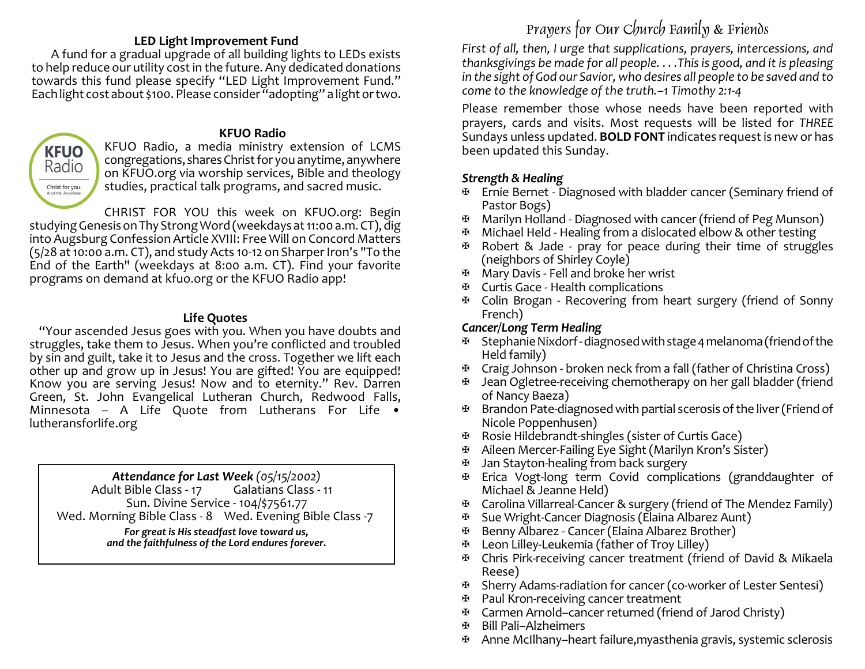### **LED Light Improvement Fund**

A fund for a gradual upgrade of all building lights to LEDs exists to help reduce our utility cost in the future. Any dedicated donations towards this fund please specify "LED Light Improvement Fund." Each light cost about \$100. Please consider "adopting" a light or two.

# **KFUO** Radio Christ for you. Anytime, Any

#### **KFUO Radio**

KFUO Radio, a media ministry extension of LCMS congregations, sharesChrist for you anytime, anywhere on KFUO.org via worship services, Bible and theology studies, practical talk programs, and sacred music.

CHRIST FOR YOU this week on KFUO.org: Begin studying Genesis on Thy Strong Word (weekdays at 11:00 a.m. CT), dig into Augsburg Confession Article XVIII: Free Will on Concord Matters  $(5/28$  at 10:00 a.m. CT), and study Acts 10-12 on Sharper Iron's "To the End of the Earth" (weekdays at 8:00 a.m. CT). Find your favorite programs on demand at kfuo.org or the KFUO Radio app!

### **Life Quotes**

"Your ascended Jesus goes with you. When you have doubts and struggles, take them to Jesus. When you're conflicted and troubled by sin and guilt, take it to Jesus and the cross. Together we lift each other up and grow up in Jesus! You are gifted! You are equipped! Know you are serving Jesus! Now and to eternity." Rev. Darren Green, St. John Evangelical Lutheran Church, Redwood Falls, Minnesota – A Life Quote from Lutherans For Life  $\bullet$ lutheransforlife.org

> *Attendance for Last Week (05/15/2002)* Adult Bible Class - 17 Sun. Divine Service - 104/\$7561.77

Wed. Morning Bible Class - 8 Wed. Evening Bible Class -7

*For great is His steadfast love toward us, and the faithfulness of the Lord endures forever.*

# Prayers for Our Church Family & Friends

*First of all, then, I urge that supplications, prayers, intercessions, and thanksgivings be made for all people. . . .This is good, and it is pleasing in the sight of God our Savior, who desires all people to be saved and to come to the knowledge of the truth.–1 Timothy 2:1-4*

Please remember those whose needs have been reported with prayers, cards and visits. Most requests will be listed for *THREE* Sundays unless updated. **BOLD FONT** indicates request is new or has been updated this Sunday.

# *Strength & Healing*

- $\mathfrak{B}$  Ernie Bernet Diagnosed with bladder cancer (Seminary friend of Pastor Bogs)
- a Marilyn Holland Diagnosed with cancer (friend of Peg Munson)
- $\mathbb{F}$  Michael Held Healing from a dislocated elbow & other testing
- $\mathfrak{B}$  Robert & Jade pray for peace during their time of struggles (neighbors of Shirley Coyle)
- **E** Mary Davis Fell and broke her wrist
- $\mathbb{E}$  Curtis Gace Health complications
- a Colin Brogan Recovering from heart surgery (friend of Sonny French)

# *Cancer/Long Term Healing*

- a StephanieNixdorf-diagnosedwithstage4melanoma(friendofthe Held family)
- $\mathfrak{B}$  Craig Johnson broken neck from a fall (father of Christina Cross)
- $\mathbb{F}$  Jean Ogletree-receiving chemotherapy on her gall bladder (friend of Nancy Baeza)
- $\mathbb{F}$  Brandon Pate-diagnosed with partial scerosis of the liver (Friend of Nicole Poppenhusen)
- $\mathfrak{B}$  Rosie Hildebrandt-shingles (sister of Curtis Gace)
- Aileen Mercer-Failing Eye Sight (Marilyn Kron's Sister)
- $\overline{v}$  Jan Stayton-healing from back surgery
- a Erica Vogt-long term Covid complications (granddaughter of Michael & Jeanne Held)
- a Carolina Villarreal-Cancer & surgery (friend of The Mendez Family)
- a Sue Wright-Cancer Diagnosis (Elaina Albarez Aunt)
- a Benny Albarez Cancer (Elaina Albarez Brother)
- a Leon Lilley-Leukemia (father of Troy Lilley)
- a Chris Pirk-receiving cancer treatment (friend of David & Mikaela Reese)
- a Sherry Adams-radiation for cancer (co-worker of Lester Sentesi)
- a Paul Kron-receiving cancer treatment
- 田<br>B. Carmen Arnold–cancer returned (friend of Jarod Christy)<br>B. Bill Pali–Alzheimers
- a Bill Pali–Alzheimers
- $\mathfrak{B}$  Anne McIlhany–heart failure, myasthenia gravis, systemic sclerosis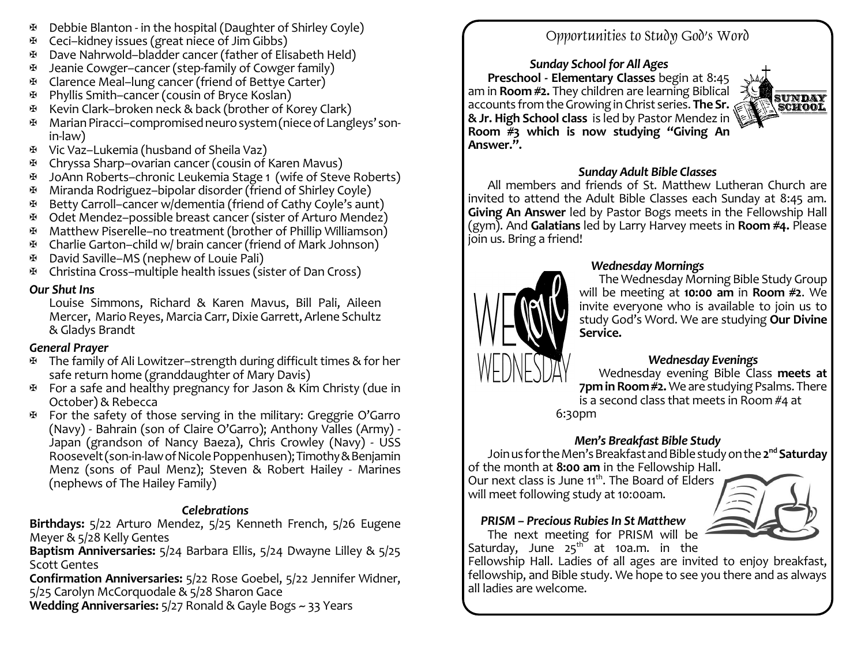- $\mathbb{F}$  Debbie Blanton in the hospital (Daughter of Shirley Coyle)
- $\mathfrak{B}$  Ceci–kidney issues (great niece of Jim Gibbs)
- a Dave Nahrwold–bladder cancer (father of Elisabeth Held)
- $\mathbb{H}$  Jeanie Cowger–cancer (step-family of Cowger family)
- a Clarence Meal–lung cancer (friend of Bettye Carter)
- a Phyllis Smith–cancer (cousin of Bryce Koslan)
- a Kevin Clark–broken neck & back (brother of Korey Clark)
- a MarianPiracci–compromisedneurosystem(nieceofLangleys' sonin-law)
- a Vic Vaz–Lukemia (husband of Sheila Vaz)
- a Chryssa Sharp–ovarian cancer (cousin of Karen Mavus)
- a JoAnn Roberts–chronic Leukemia Stage 1 (wife of Steve Roberts)
- a Miranda Rodriguez–bipolar disorder (friend of Shirley Coyle)
- a Betty Carroll–cancer w/dementia (friend of Cathy Coyle's aunt)
- a Odet Mendez–possible breast cancer (sister of Arturo Mendez)
- a Matthew Piserelle–no treatment (brother of Phillip Williamson)
- a Charlie Garton–child w/ brain cancer (friend of Mark Johnson)
- **E** David Saville–MS (nephew of Louie Pali)
- a Christina Cross–multiple health issues (sister of Dan Cross)

### *Our Shut Ins*

Louise Simmons, Richard & Karen Mavus, Bill Pali, Aileen Mercer, Mario Reyes, Marcia Carr, Dixie Garrett, Arlene Schultz & Gladys Brandt

## *General Prayer*

- $\mathfrak{B}$  The family of Ali Lowitzer–strength during difficult times & for her safe return home (granddaughter of Mary Davis)
- $\mathbb F$  For a safe and healthy pregnancy for Jason & Kim Christy (due in October) & Rebecca
- $\Phi$  For the safety of those serving in the military: Greggrie O'Garro (Navy) - Bahrain (son of Claire O'Garro); Anthony Valles (Army) - Japan (grandson of Nancy Baeza), Chris Crowley (Navy) - USS Roosevelt (son-in-law of Nicole Poppenhusen); Timothy & Benjamin Menz (sons of Paul Menz); Steven & Robert Hailey - Marines (nephews of The Hailey Family)

## *Celebrations*

**Birthdays:** 5/22 Arturo Mendez, 5/25 Kenneth French, 5/26 Eugene Meyer & 5/28 Kelly Gentes

**Baptism Anniversaries:** 5/24 Barbara Ellis, 5/24 Dwayne Lilley & 5/25 Scott Gentes

**Confirmation Anniversaries:** 5/22 Rose Goebel, 5/22 Jennifer Widner, 5/25 Carolyn McCorquodale & 5/28 Sharon Gace

**Wedding Anniversaries:** 5/27 Ronald & Gayle Bogs ~ 33 Years

# Opportunities to Study God's Word

*Sunday School for All Ages* **Preschool - Elementary Classes** begin at 8:45 am in **Room #2.** They children are learning Biblical accounts fromtheGrowinginChrist series. **The Sr. &Jr. High School class** is led by Pastor Mendez in **Room #3 which is now studying "Giving An Answer.".**



### *Sunday Adult Bible Classes*

All members and friends of St. Matthew Lutheran Church are invited to attend the Adult Bible Classes each Sunday at 8:45 am. **Giving An Answer** led by Pastor Bogs meets in the Fellowship Hall (gym). And **Galatians** led by Larry Harvey meets in **Room #4.** Please join us. Bring a friend!



### *Wednesday Mornings*

The Wednesday Morning Bible Study Group will be meeting at **10:00 am** in **Room #2**. We invite everyone who is available to join us to study God's Word. We are studying **Our Divine Service.**

## *Wednesday Evenings*

Wednesday evening Bible Class **meets at 7pm in Room #2.** We are studying Psalms. There is a second class that meets in Room #4 at 6:30pm

*Men's Breakfast Bible Study*

JoinusfortheMen'sBreakfastandBiblestudyonthe**2 nd Saturday** of the month at **8:00 am** in the Fellowship Hall.

Our next class is June 11<sup>th</sup>. The Board of Elders will meet following study at 10:00am.



The next meeting for PRISM will be Saturday, June  $25^{\text{th}}$  at 10a.m. in the

Fellowship Hall. Ladies of all ages are invited to enjoy breakfast, fellowship, and Bible study. We hope to see you there and as always all ladies are welcome.